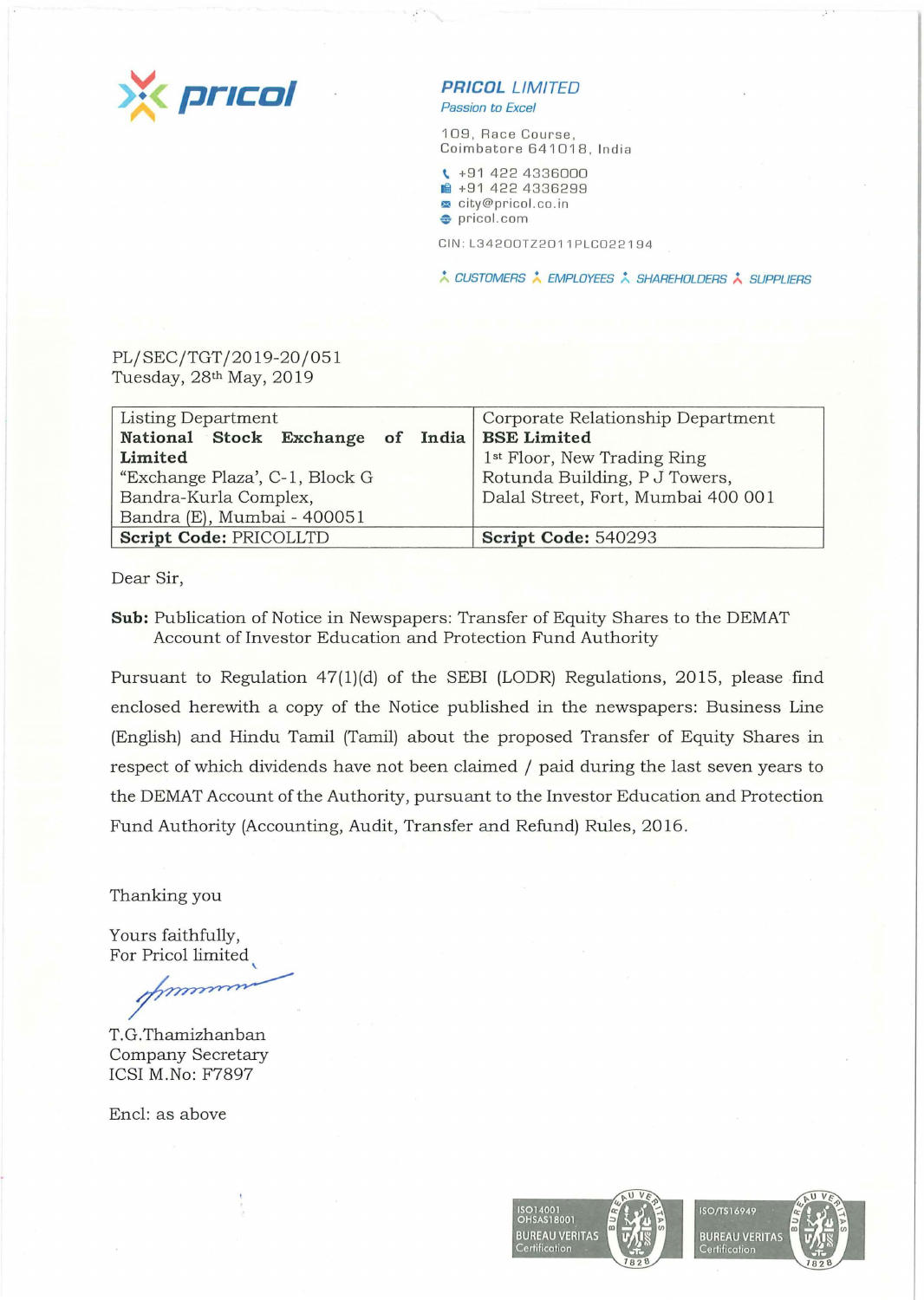

### **PR/COL** *LIMITED Passion to Excel*

109, Race Course, Coimbatore 641018, India

 $\sqrt{1 + 91}$  422 4336000 **■ +91 422 4336299 >:i** c ity@prico l. co.in **e,** pricol . com

CIN: L34 2 00TZ20 11PLC0 22 19 4

;., CUSTOMERS • EMPLOYEES ;., SHAREHOLDERS **i-,** SUPPLIERS

# PL/SEC/TGT/2019-20/051 Tuesday, 28th May, 2019

| Listing Department                           | Corporate Relationship Department       |
|----------------------------------------------|-----------------------------------------|
| National Stock Exchange of India BSE Limited |                                         |
| Limited                                      | 1 <sup>st</sup> Floor, New Trading Ring |
| "Exchange Plaza', C-1, Block G               | Rotunda Building, P J Towers,           |
| Bandra-Kurla Complex,                        | Dalal Street, Fort, Mumbai 400 001      |
| Bandra (E), Mumbai - 400051                  |                                         |
| Script Code: PRICOLLTD                       | Script Code: 540293                     |

Dear Sir,

**Sub:** Publication of Notice in Newspapers: Transfer of Equity Shares to the DEMAT Account of Investor Education and Protection Fund Authority

Pursuant to Regulation 47(1)(d) of the SEBI (LODR) Regulations, 2015, please find enclosed herewith a copy of the Notice published in the newspapers: Business Line (English) and Hindu Tamil (Tamil) about the proposed Transfer of Equity Shares in respect of which dividends have not been claimed / paid during the last seven years to the DEMAT Account of the Authority, pursuant to the Investor Education and Protection Fund Authority (Accounting, Audit, Transfer and Refund) Rules, 2016.

Thanking you

Yours faithfully, For Pricol limited

muni

T. G. Thamizhanban Company Secretary ICSI M.No: F7897

Encl: as above

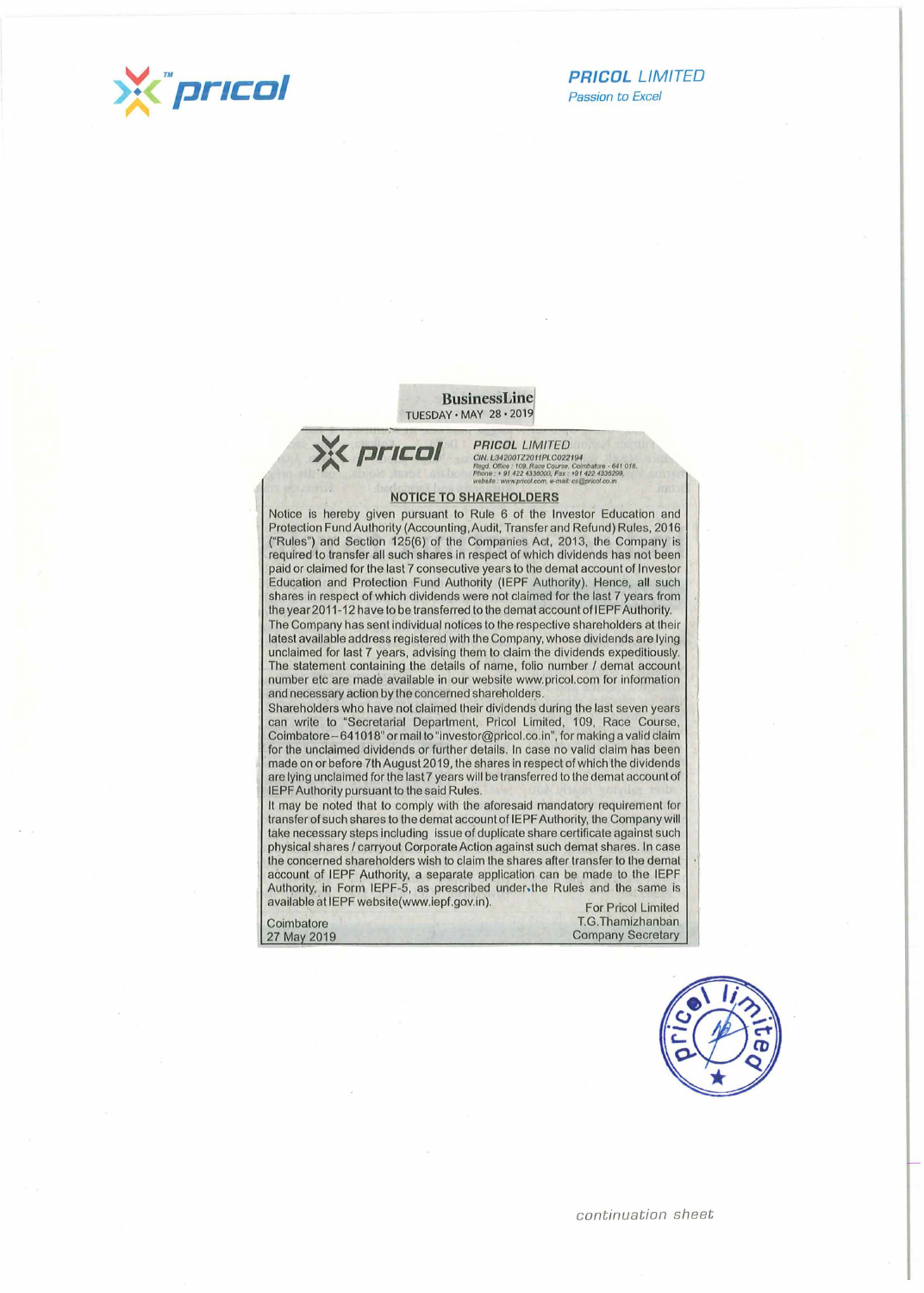

**BusinessLine** TUESDAY• MAY 28 • 2019/

*~x<pr,ca/* **PR/COL** LIMITED CIN. L34200TZ2011PLC022194

**Rtlgd. Olr,oo .· 109, Raoe Cotno, OlirMskxe • 64 1 0 18.**  *Phont1 :* ► **91422 433MOO, Fax : •9 14224338299,**   $w$ ebsite : www.pricol.com, e-mail: cs@pricol.co.in

#### **NOTICE TO SHAREHOLDERS**

Notice is hereby given pursuant to Rule 6 of the Investor Education and Protection Fund Authority (Accounting, Audit, Transfer and Refund) Rules, 2016 ("Rules") and Section 125(6) of the Companies Act, 2013, the Company is required to transfer all such shares in respect of which dividends has not been paid or claimed for the last 7 consecutive years to the demat account of Investor Education and Protection Fund Authority (IEPF Authority). Hence, all such shares in respect of which dividends were not claimed for the last 7 years from the year 2011-12 have to be transferred to the demat account of IEPF Authority. The Company has sent individual notices to the respective shareholders at their latest available address registered with the Company, whose dividends are lying unclaimed for last 7 years, advising them to claim the dividends expeditiously. The statement containing the details of name, folio number / demat account number etc are made available in our website www.pricol.com for information and necessary action by the concerned shareholders.

Shareholders who have not claimed their dividends during the last seven years can write to "Secretarial Department, Prlcol Limited, 109, Race Course, Coimbatore - 641018" or mail to "investor@pricol .co.in", for making a valid claim for the unclaimed dividends or further details. In case no valid claim has been made on or before 7th August 2019, the shares in respect of which the dividends are lying unclaimed for the last 7 years will be transferred to the demat account of IEPF Authority pursuant to the said Rules.

It may be noted that to comply with the aforesaid mandatory requirement for transfer of such shares to the demat account of IE PF Authority, the Company will take necessary steps including issue of duplicate share certificate against such physical shares/ carryout Corporate Action against such demat shares. In case the concerned shareholders wish to claim the shares after transfer to the demat account of IEPF Authority, a separate application can be made to the IEPF Authority, in Form IEPF-5, as prescribed under, the Rules and the same is available at IEPF website(www.iepf.gov.in). For Pricol Limited

**Coimbatore** 27 May 2019

T.G.Thamizhanban Company Secretary